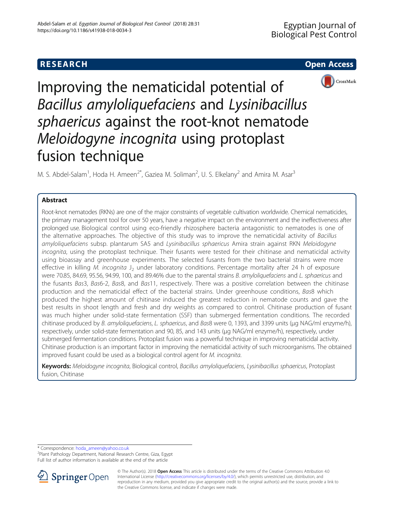



Improving the nematicidal potential of Bacillus amyloliquefaciens and Lysinibacillus sphaericus against the root-knot nematode Meloidogyne incognita using protoplast fusion technique

M. S. Abdel-Salam<sup>1</sup>, Hoda H. Ameen<sup>2\*</sup>, Gaziea M. Soliman<sup>2</sup>, U. S. Elkelany<sup>2</sup> and Amira M. Asar<sup>3</sup>

# Abstract

Root-knot nematodes (RKNs) are one of the major constraints of vegetable cultivation worldwide. Chemical nematicides, the primary management tool for over 50 years, have a negative impact on the environment and the ineffectiveness after prolonged use. Biological control using eco-friendly rhizosphere bacteria antagonistic to nematodes is one of the alternative approaches. The objective of this study was to improve the nematicidal activity of Bacillus amyloliquefaciens subsp. plantarum SA5 and Lysinibacillus sphaericus Amira strain against RKN Meloidogyne incognita, using the protoplast technique. Their fusants were tested for their chitinase and nematicidal activity using bioassay and greenhouse experiments. The selected fusants from the two bacterial strains were more effective in killing M. incognita J<sub>2</sub> under laboratory conditions. Percentage mortality after 24 h of exposure were 70.85, 84.69, 95.56, 94.99, 100, and 89.46% due to the parental strains B. amyloliquefaciens and L. sphaericus and the fusants Bas3, Bas6-2, Bas8, and Bas11, respectively. There was a positive correlation between the chitinase production and the nematicidal effect of the bacterial strains. Under greenhouse conditions, Bas8 which produced the highest amount of chitinase induced the greatest reduction in nematode counts and gave the best results in shoot length and fresh and dry weights as compared to control. Chitinase production of fusant was much higher under solid-state fermentation (SSF) than submerged fermentation conditions. The recorded chitinase produced by B. amyloliquefaciens, L. sphaericus, and Bas8 were 0, 1393, and 3399 units (μg NAG/ml enzyme/h), respectively, under solid-state fermentation and 90, 85, and 143 units (μg NAG/ml enzyme/h), respectively, under submerged fermentation conditions. Protoplast fusion was a powerful technique in improving nematicidal activity. Chitinase production is an important factor in improving the nematicidal activity of such microorganisms. The obtained improved fusant could be used as a biological control agent for M. incognita.

Keywords: Meloidogyne incognita, Biological control, Bacillus amyloliquefaciens, Lysinibacillus sphaericus, Protoplast fusion, Chitinase

\* Correspondence: [hoda\\_ameen@yahoo.co.uk](mailto:hoda_ameen@yahoo.co.uk) <sup>2</sup>

<sup>2</sup>Plant Pathology Department, National Research Centre, Giza, Egypt Full list of author information is available at the end of the article



<sup>©</sup> The Author(s). 2018 Open Access This article is distributed under the terms of the Creative Commons Attribution 4.0 International License ([http://creativecommons.org/licenses/by/4.0/\)](http://creativecommons.org/licenses/by/4.0/), which permits unrestricted use, distribution, and reproduction in any medium, provided you give appropriate credit to the original author(s) and the source, provide a link to the Creative Commons license, and indicate if changes were made.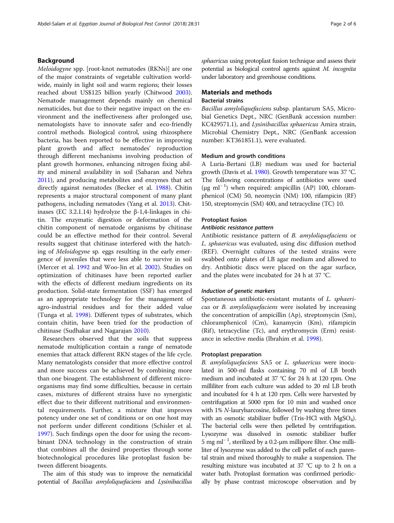# Background

Meloidogyne spp. [root-knot nematodes (RKNs)] are one of the major constraints of vegetable cultivation worldwide, mainly in light soil and warm regions; their losses reached about US\$125 billion yearly (Chitwood [2003](#page-5-0)). Nematode management depends mainly on chemical nematicides, but due to their negative impact on the environment and the ineffectiveness after prolonged use, nematologists have to innovate safer and eco-friendly control methods. Biological control, using rhizosphere bacteria, has been reported to be effective in improving plant growth and affect nematodes' reproduction through different mechanisms involving production of plant growth hormones, enhancing nitrogen fixing ability and mineral availability in soil (Saharan and Nehra [2011](#page-5-0)), and producing metabolites and enzymes that act directly against nematodes (Becker et al. [1988\)](#page-5-0). Chitin represents a major structural component of many plant pathogens, including nematodes (Yang et al. [2013](#page-5-0)). Chitinases (EC 3.2.1.14) hydrolyze the β-1,4-linkages in chitin. The enzymatic digestion or deformation of the chitin component of nematode organisms by chitinase could be an effective method for their control. Several results suggest that chitinase interfered with the hatching of Meloidogyne sp. eggs resulting in the early emergence of juveniles that were less able to survive in soil (Mercer et al. [1992](#page-5-0) and Woo-Jin et al. [2002\)](#page-5-0). Studies on optimization of chitinases have been reported earlier with the effects of different medium ingredients on its production. Solid-state fermentation (SSF) has emerged as an appropriate technology for the management of agro-industrial residues and for their added value (Tunga et al. [1998\)](#page-5-0). Different types of substrates, which contain chitin, have been tried for the production of chitinase (Sudhakar and Nagarajan [2010\)](#page-5-0).

Researchers observed that the soils that suppress nematode multiplication contain a range of nematode enemies that attack different RKN stages of the life cycle. Many nematologists consider that more effective control and more success can be achieved by combining more than one bioagent. The establishment of different microorganisms may find some difficulties, because in certain cases, mixtures of different strains have no synergistic effect due to their different nutritional and environmental requirements. Further, a mixture that improves potency under one set of conditions or on one host may not perform under different conditions (Schisler et al. [1997](#page-5-0)). Such findings open the door for using the recombinant DNA technology in the construction of strain that combines all the desired properties through some biotechnological procedures like protoplast fusion between different bioagents.

The aim of this study was to improve the nematicidal potential of Bacillus amyloliquefaciens and Lysinibacillus sphaericus using protoplast fusion technique and assess their potential as biological control agents against M. incognita under laboratory and greenhouse conditions.

# Materials and methods

# Bacterial strains

Bacillus amyloliquefaciens subsp. plantarum SA5, Microbial Genetics Dept., NRC (GenBank accession number: KC429571.1), and Lysinibacillus sphaericus Amira strain, Microbial Chemistry Dept., NRC (GenBank accession number: KT361851.1), were evaluated.

### Medium and growth conditions

A Luria-Bertani (LB) medium was used for bacterial growth (Davis et al. [1980](#page-5-0)). Growth temperature was 37 °C. The following concentrations of antibiotics were used (μg ml<sup>−</sup> <sup>1</sup> ) when required: ampicillin (AP) 100, chloramphenicol (CM) 50, neomycin (NM) 100, rifampicin (RF) 150, streptomycin (SM) 400, and tetracycline (TC) 10.

# Protoplast fusion

### Antibiotic resistance pattern

Antibiotic resistance pattern of B. amyloliquefaciens or L. sphaericus was evaluated, using disc diffusion method (REF). Overnight cultures of the tested strains were swabbed onto plates of LB agar medium and allowed to dry. Antibiotic discs were placed on the agar surface, and the plates were incubated for 24 h at 37 °C.

#### Induction of genetic markers

Spontaneous antibiotic-resistant mutants of L. sphaericus or B. amyloliquefaciens were isolated by increasing the concentration of ampicillin (Ap), streptomycin (Sm), chloramphenicol (Cm), kanamycin (Km), rifampicin (Rif), tetracycline (Tc), and erythromycin (Erm) resistance in selective media (Ibrahim et al. [1998\)](#page-5-0).

### Protoplast preparation

B. amyloliquefaciens SA5 or L. sphaericus were inoculated in 500-ml flasks containing 70 ml of LB broth medium and incubated at 37 °C for 24 h at 120 rpm. One milliliter from each culture was added to 20 ml LB broth and incubated for 4 h at 120 rpm. Cells were harvested by centrifugation at 5000 rpm for 10 min and washed once with 1% N-laurylsarcosine, followed by washing three times with an osmotic stabilizer buffer (Tris-HCl with  $MgSO_4$ ). The bacterial cells were then pelleted by centrifugation. Lysozyme was dissolved in osmotic stabilizer buffer 5 mg ml<sup>−</sup> <sup>1</sup> , sterilized by a 0.2-μm millipore filter. One milliliter of lysozyme was added to the cell pellet of each parental strain and mixed thoroughly to make a suspension. The resulting mixture was incubated at 37 °C up to 2 h on a water bath. Protoplast formation was confirmed periodically by phase contrast microscope observation and by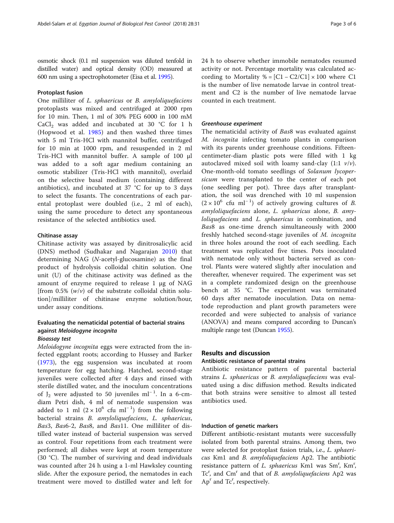osmotic shock (0.1 ml suspension was diluted tenfold in distilled water) and optical density (OD) measured at 600 nm using a spectrophotometer (Eisa et al. [1995\)](#page-5-0).

# Protoplast fusion

One milliliter of L. sphaericus or B. amyloliquefaciens protoplasts was mixed and centrifuged at 2000 rpm for 10 min. Then, 1 ml of 30% PEG 6000 in 100 mM CaCl<sub>2</sub> was added and incubated at 30 °C for 1 h (Hopwood et al. [1985](#page-5-0)) and then washed three times with 5 ml Tris-HCl with mannitol buffer, centrifuged for 10 min at 1000 rpm, and resuspended in 2 ml Tris-HCl with mannitol buffer. A sample of 100 μl was added to a soft agar medium containing an osmotic stabilizer (Tris-HCl with mannitol), overlaid on the selective basal medium (containing different antibiotics), and incubated at 37 °C for up to 3 days to select the fusants. The concentrations of each parental protoplast were doubled (i.e., 2 ml of each), using the same procedure to detect any spontaneous resistance of the selected antibiotics used.

# Chitinase assay

Chitinase activity was assayed by dinitrosalicylic acid (DNS) method (Sudhakar and Nagarajan [2010\)](#page-5-0) that determining NAG (N-acetyl-glucosamine) as the final product of hydrolysis colloidal chitin solution. One unit (U) of the chitinase activity was defined as the amount of enzyme required to release 1 μg of NAG [from 0.5%  $(w/v)$  of the substrate colloidal chitin solution]/milliliter of chitinase enzyme solution/hour, under assay conditions.

# Evaluating the nematicidal potential of bacterial strains against Meloidogyne incognita

# Bioassay test

Meloidogyne incognita eggs were extracted from the infected eggplant roots; according to Hussey and Barker ([1973\)](#page-5-0), the egg suspension was incubated at room temperature for egg hatching. Hatched, second-stage juveniles were collected after 4 days and rinsed with sterile distilled water, and the inoculum concentrations of  $J_2$  were adjusted to 50 juveniles ml<sup>-1</sup>. In a 6-cmdiam Petri dish, 4 ml of nematode suspension was added to 1 ml  $(2 \times 10^{6}$  cfu ml<sup>-1</sup>) from the following bacterial strains B. amyloliquefaciens, L. sphaericus, Bas3, Bas6-2, Bas8, and Bas11. One milliliter of distilled water instead of bacterial suspension was served as control. Four repetitions from each treatment were performed; all dishes were kept at room temperature (30 °C). The number of surviving and dead individuals was counted after 24 h using a 1-ml Hawksley counting slide. After the exposure period, the nematodes in each treatment were moved to distilled water and left for 24 h to observe whether immobile nematodes resumed activity or not. Percentage mortality was calculated according to Mortality % =  $[Cl - C2/C1] \times 100$  where C1 is the number of live nematode larvae in control treatment and C2 is the number of live nematode larvae counted in each treatment.

### Greenhouse experiment

The nematicidal activity of Bas8 was evaluated against M. incognita infecting tomato plants in comparison with its parents under greenhouse conditions. Fifteencentimeter-diam plastic pots were filled with 1 kg autoclaved mixed soil with loamy sand-clay  $(1:1 \nu/\nu)$ . One-month-old tomato seedlings of Solanum lycopersicum were transplanted to the center of each pot (one seedling per pot). Three days after transplantation, the soil was drenched with 10 ml suspension  $(2 \times 10^{6} \text{ cftu ml}^{-1})$  of actively growing cultures of B. amyloliquefaciens alone, L. sphaericus alone, B. amyloliquefaciens and L. sphaericus in combination, and Bas8 as one-time drench simultaneously with 2000 freshly hatched second-stage juveniles of M. incognita in three holes around the root of each seedling. Each treatment was replicated five times. Pots inoculated with nematode only without bacteria served as control. Plants were watered slightly after inoculation and thereafter, whenever required. The experiment was set in a complete randomized design on the greenhouse bench at 35 °C. The experiment was terminated 60 days after nematode inoculation. Data on nematode reproduction and plant growth parameters were recorded and were subjected to analysis of variance (ANOVA) and means compared according to Duncan's multiple range test (Duncan [1955\)](#page-5-0).

## Results and discussion

# Antibiotic resistance of parental strains

Antibiotic resistance pattern of parental bacterial strains L. sphaericus or B. amyloliquefaciens was evaluated using a disc diffusion method. Results indicated that both strains were sensitive to almost all tested antibiotics used.

# Induction of genetic markers

Different antibiotic-resistant mutants were successfully isolated from both parental strains. Among them, two were selected for protoplast fusion trials, i.e., L. sphaericus Km1 and B. amyloliquefaciens Ap2. The antibiotic resistance pattern of L. sphaericus Km1 was Sm<sup>r</sup>, Km<sup>r</sup>, Tc<sup>r</sup>, and Cm<sup>r</sup> and that of *B. amyloliquefaciens* Ap2 was Ap<sup>r</sup> and Tc<sup>r</sup>, respectively.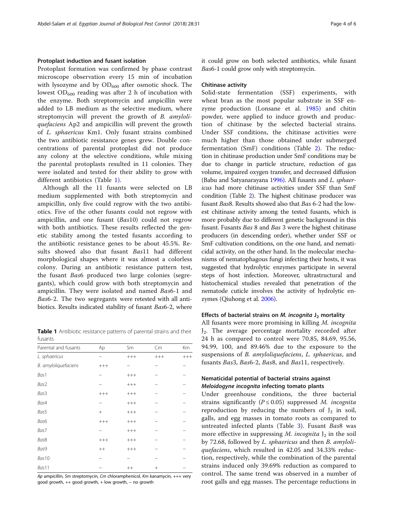# Protoplast induction and fusant isolation

Protoplast formation was confirmed by phase contrast microscope observation every 15 min of incubation with lysozyme and by  $OD_{600}$  after osmotic shock. The lowest  $OD_{600}$  reading was after 2 h of incubation with the enzyme. Both streptomycin and ampicillin were added to LB medium as the selective medium, where streptomycin will prevent the growth of B. amyloliquefaciens Ap2 and ampicillin will prevent the growth of L. sphaericus Km1. Only fusant strains combined the two antibiotic resistance genes grew. Double concentrations of parental protoplast did not produce any colony at the selective conditions, while mixing the parental protoplasts resulted in 11 colonies. They were isolated and tested for their ability to grow with different antibiotics (Table 1).

Although all the 11 fusants were selected on LB medium supplemented with both streptomycin and ampicillin, only five could regrow with the two antibiotics. Five of the other fusants could not regrow with ampicillin, and one fusant (Bas10) could not regrow with both antibiotics. These results reflected the genetic stability among the tested fusants according to the antibiotic resistance genes to be about 45.5%. Results showed also that fusant Bas11 had different morphological shapes where it was almost a colorless colony. During an antibiotic resistance pattern test, the fusant Bas6 produced two large colonies (segregants), which could grow with both streptomycin and ampicillin. They were isolated and named Bas6-1 and Bas6-2. The two segregants were retested with all antibiotics. Results indicated stability of fusant Bas6-2, where

Table 1 Antibiotic resistance patterns of parental strains and their fusants

| Parental and fusants | Ap              | Sm      | Cm     | Km    |
|----------------------|-----------------|---------|--------|-------|
| L. sphaericus        |                 | $+++$   | $++++$ | $+++$ |
| B. amyloliquefaciens | $^{+++}$        |         |        |       |
| Bas1                 |                 | $++++$  |        |       |
| Bas2                 |                 | $++++$  |        |       |
| Bas <sub>3</sub>     | $^{+++}$        | $++++$  |        |       |
| Bas4                 |                 | $++++$  |        |       |
| Bas5                 | $\! + \!\!\!\!$ | $+++$   |        |       |
| Bas6                 | $^{+++}$        | $+++$   |        |       |
| Bas7                 |                 | $+++$   |        |       |
| Bas8                 | $^{+++}$        | $+++$   |        |       |
| Bas9                 | $^{++}$         | $+++$   |        |       |
| Bas10                |                 |         |        |       |
| Bas11                |                 | $^{++}$ | $^+$   |       |

Ap ampicillin, Sm streptomycin, Cm chloramphenicol, Km kanamycin, +++ very good growth, ++ good growth, + low growth, − no growth

it could grow on both selected antibiotics, while fusant Bas6-1 could grow only with streptomycin.

#### Chitinase activity

Solid-state fermentation (SSF) experiments, with wheat bran as the most popular substrate in SSF enzyme production (Lonsane et al. [1985](#page-5-0)) and chitin powder, were applied to induce growth and production of chitinase by the selected bacterial strains. Under SSF conditions, the chitinase activities were much higher than those obtained under submerged fermentation (SmF) conditions (Table [2](#page-4-0)). The reduction in chitinase production under SmF conditions may be due to change in particle structure, reduction of gas volume, impaired oxygen transfer, and decreased diffusion (Babu and Satyanarayana [1996](#page-5-0)). All fusants and L. sphaericus had more chitinase activities under SSF than SmF condition (Table [2](#page-4-0)). The highest chitinase producer was fusant Bas8. Results showed also that Bas 6-2 had the lowest chitinase activity among the tested fusants, which is more probably due to different genetic background in this fusant. Fusants Bas 8 and Bas 3 were the highest chitinase producers (in descending order), whether under SSF or SmF cultivation conditions, on the one hand, and nematicidal activity, on the other hand. In the molecular mechanisms of nematophagous fungi infecting their hosts, it was suggested that hydrolytic enzymes participate in several steps of host infection. Moreover, ultrastructural and histochemical studies revealed that penetration of the nematode cuticle involves the activity of hydrolytic enzymes (Qiuhong et al. [2006\)](#page-5-0).

#### Effects of bacterial strains on M. incognita  $J_2$  mortality

All fusants were more promising in killing M. incognita  $J_2$ . The average percentage mortality recorded after 24 h as compared to control were 70.85, 84.69, 95.56, 94.99, 100, and 89.46% due to the exposure to the suspensions of B. amyloliquefaciens, L. sphaericus, and fusants Bas3, Bas6-2, Bas8, and Bas11, respectively.

# Nematicidal potential of bacterial strains against Meloidogyne incognita infecting tomato plants

Under greenhouse conditions, the three bacterial strains significantly ( $P \le 0.05$ ) suppressed M. incognita reproduction by reducing the numbers of  $J_2$  in soil, galls, and egg masses in tomato roots as compared to untreated infected plants (Table [3\)](#page-4-0). Fusant Bas8 was more effective in suppressing M. incognita  $J_2$  in the soil by 72.68, followed by L. sphaericus and then B. amyloliquefaciens, which resulted in 42.05 and 34.33% reduction, respectively, while the combination of the parental strains induced only 39.69% reduction as compared to control. The same trend was observed in a number of root galls and egg masses. The percentage reductions in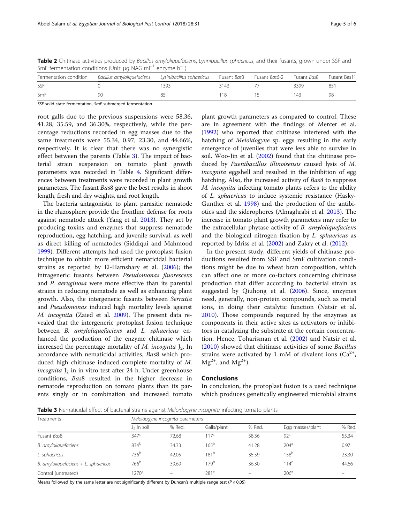<span id="page-4-0"></span>Table 2 Chitinase activities produced by Bacillus amyloliquefaciens, Lysinibacillus sphaericus, and their fusants, grown under SSF and SmF fermentation conditions (Unit: µg NAG ml<sup>-1</sup> enzyme h<sup>-1</sup>)

| Fermentation condition Bacillus amyloliquefaciens |    | Lysinibacillus sphaericus | Fusant Bas3 | Fusant Bas6-2 | Fusant <i>Bas</i> 8 | Fusant Bas11 |
|---------------------------------------------------|----|---------------------------|-------------|---------------|---------------------|--------------|
| SSF                                               |    | 393                       | 3143        |               | 3399                | 851          |
| SmF                                               | ۹ſ |                           | -18         |               |                     |              |

SSF solid-state fermentation, SmF submerged fermentation

root galls due to the previous suspensions were 58.36, 41.28, 35.59, and 36.30%, respectively, while the percentage reductions recorded in egg masses due to the same treatments were 55.34, 0.97, 23.30, and 44.66%, respectively. It is clear that there was no synergistic effect between the parents (Table 3). The impact of bacterial strain suspension on tomato plant growth parameters was recorded in Table [4.](#page-5-0) Significant differences between treatments were recorded in plant growth parameters. The fusant Bas8 gave the best results in shoot length, fresh and dry weights, and root length.

The bacteria antagonistic to plant parasitic nematode in the rhizosphere provide the frontline defense for roots against nematode attack (Yang et al. [2013](#page-5-0)). They act by producing toxins and enzymes that suppress nematode reproduction, egg hatching, and juvenile survival, as well as direct killing of nematodes (Siddiqui and Mahmood [1999](#page-5-0)). Different attempts had used the protoplast fusion technique to obtain more efficient nematicidal bacterial strains as reported by El-Hamshary et al. [\(2006\)](#page-5-0); the intrageneric fusants between Pseudomonas fluorescens and P. aeruginosa were more effective than its parental strains in reducing nematode as well as enhancing plant growth. Also, the intergeneric fusants between Serratia and Pseudomonas induced high mortality levels against M. incognita (Zaied et al. [2009](#page-5-0)). The present data revealed that the intergeneric protoplast fusion technique between B. amyloliquefaciens and L. sphaericus enhanced the production of the enzyme chitinase which increased the percentage mortality of M. incognita  $J_2$ . In accordance with nematicidal activities, Bas8 which produced high chitinase induced complete mortality of M. incognita  $J_2$  in in vitro test after 24 h. Under greenhouse conditions, Bas8 resulted in the higher decrease in nematode reproduction on tomato plants than its parents singly or in combination and increased tomato plant growth parameters as compared to control. These are in agreement with the findings of Mercer et al. ([1992\)](#page-5-0) who reported that chitinase interfered with the hatching of Meloidogyne sp. eggs resulting in the early emergence of juveniles that were less able to survive in soil. Woo-Jin et al. ([2002](#page-5-0)) found that the chitinase produced by Paenibacillus illinoisensis caused lysis of M. incognita eggshell and resulted in the inhibition of egg hatching. Also, the increased activity of Bas8 to suppress M. incognita infecting tomato plants refers to the ability of L. sphaericus to induce systemic resistance (Hasky-Gunther et al. [1998\)](#page-5-0) and the production of the antibiotics and the siderophores (Almaghrabi et al. [2013\)](#page-5-0). The increase in tomato plant growth parameters may refer to the extracellular phytase activity of B. amyloliquefaciens and the biological nitrogen fixation by L. sphaericus as reported by Idriss et al. ([2002\)](#page-5-0) and Zakry et al. ([2012\)](#page-5-0).

In the present study, different yields of chitinase productions resulted from SSF and SmF cultivation conditions might be due to wheat bran composition, which can affect one or more co-factors concerning chitinase production that differ according to bacterial strain as suggested by Qiuhong et al. [\(2006](#page-5-0)). Since, enzymes need, generally, non-protein compounds, such as metal ions, in doing their catalytic function (Natsir et al. [2010\)](#page-5-0). Those compounds required by the enzymes as components in their active sites as activators or inhibitors in catalyzing the substrate at the certain concentration. Hence, Toharisman et al. ([2002\)](#page-5-0) and Natsir et al. ([2010\)](#page-5-0) showed that chitinase activities of some Bacillus strains were activated by 1 mM of divalent ions  $(Ca^{2+})$ ,  $Mg^{2+}$ , and  $Mg^{2+}$ ).

## **Conclusions**

In conclusion, the protoplast fusion is a used technique which produces genetically engineered microbial strains

Table 3 Nematicidal effect of bacterial strains against Meloidogyne incognita infecting tomato plants

| Treatments                               | Meloidogyne incognita parameters |                   |                  |        |                  |        |  |
|------------------------------------------|----------------------------------|-------------------|------------------|--------|------------------|--------|--|
|                                          | $J2$ in soil                     | % Red.            | Galls/plant      | % Red. | Egg masses/plant | % Red. |  |
| Fusant Bas8                              | 347 <sup>c</sup>                 | 72.68             | $17^{\circ}$     | 58.36  | 92 <sup>c</sup>  | 55.34  |  |
| B. amyloliquefaciens                     | $834^{b}$                        | 34.33             | 165 <sup>b</sup> | 41.28  | 204 <sup>a</sup> | 0.97   |  |
| L. sphaericus                            | 736 <sup>b</sup>                 | 42.05             | 181 <sup>b</sup> | 35.59  | 158 <sup>b</sup> | 23.30  |  |
| $B.$ amyloliquefaciens $+ L.$ sphaericus | 766 <sup>b</sup>                 | 39.69             | 179 <sup>b</sup> | 36.30  | 114 <sup>c</sup> | 44.66  |  |
| Control (untreated)                      | $1270^{\circ}$                   | $\qquad \qquad -$ | 281 <sup>a</sup> |        | 206 <sup>a</sup> |        |  |

Means followed by the same letter are not significantly different by Duncan's multiple range test ( $P \le 0.05$ )